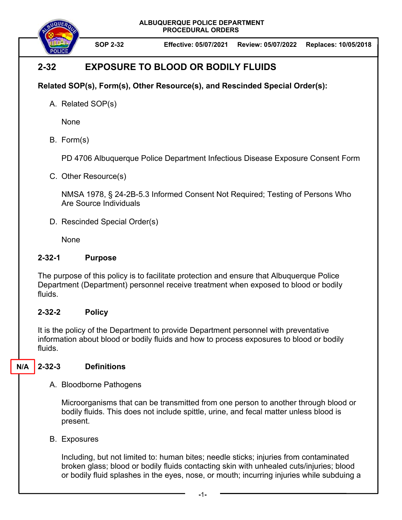**ALBUQUERQUE POLICE DEPARTMENT PROCEDURAL ORDERS** 



**SOP 2-32 Effective: 05/07/2021 Review: 05/07/2022 Replaces: 10/05/2018**

# **2-32 EXPOSURE TO BLOOD OR BODILY FLUIDS**

## **Related SOP(s), Form(s), Other Resource(s), and Rescinded Special Order(s):**

A. Related SOP(s)

None

B. Form(s)

PD 4706 Albuquerque Police Department Infectious Disease Exposure Consent Form

C. Other Resource(s)

NMSA 1978, § 24-2B-5.3 Informed Consent Not Required; Testing of Persons Who Are Source Individuals

D. Rescinded Special Order(s)

**None** 

#### **2-32-1 Purpose**

The purpose of this policy is to facilitate protection and ensure that Albuquerque Police Department (Department) personnel receive treatment when exposed to blood or bodily fluids.

## **2-32-2 Policy**

It is the policy of the Department to provide Department personnel with preventative information about blood or bodily fluids and how to process exposures to blood or bodily fluids.

#### **2-32-3 Definitions N/A**

A. Bloodborne Pathogens

Microorganisms that can be transmitted from one person to another through blood or bodily fluids. This does not include spittle, urine, and fecal matter unless blood is present.

B. Exposures

Including, but not limited to: human bites; needle sticks; injuries from contaminated broken glass; blood or bodily fluids contacting skin with unhealed cuts/injuries; blood or bodily fluid splashes in the eyes, nose, or mouth; incurring injuries while subduing a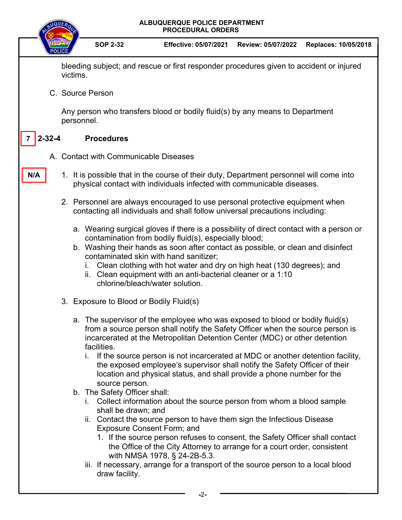

 **-**2**-**